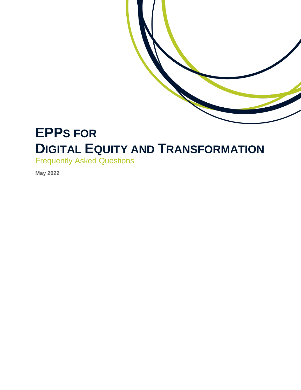

# **EPPS FOR DIGITAL EQUITY AND TRANSFORMATION**

Frequently Asked Questions

**May 2022**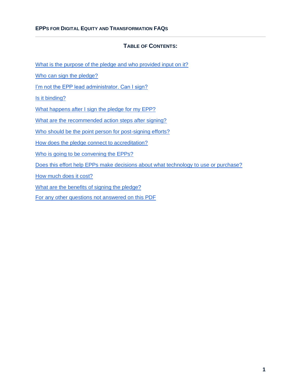#### **TABLE OF CONTENTS:**

[What is the purpose of the pledge and who provided input on it?](#page-2-0)

[Who can sign the pledge?](#page-2-1)

[I'm not the EPP lead administrator. Can I sign?](#page-2-2)

[Is it binding?](#page-2-3)

[What happens after I sign the pledge for my EPP?](#page-2-4)

[What are the recommended action steps after signing?](#page-2-5)

[Who should be the point person for post-signing efforts?](#page-2-6)

[How does the pledge connect to accreditation?](#page-3-0)

[Who is going to be convening the EPPs?](#page-3-1)

[Does this effort help EPPs make decisions about what technology to use or purchase?](#page-3-2)

[How much does it cost?](#page-3-3)

[What are the benefits of signing the pledge?](#page-3-4)

[For any other questions not answered on this PDF](#page-4-0)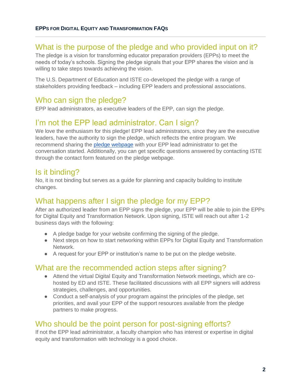## <span id="page-2-0"></span>What is the purpose of the pledge and who provided input on it?

The pledge is a vision for transforming educator preparation providers (EPPs) to meet the needs of today's schools. Signing the pledge signals that your EPP shares the vision and is willing to take steps towards achieving the vision.

The U.S. Department of Education and ISTE co-developed the pledge with a range of stakeholders providing feedback – including EPP leaders and professional associations.

## <span id="page-2-1"></span>Who can sign the pledge?

EPP lead administrators, as executive leaders of the EPP, can sign the pledge.

# <span id="page-2-2"></span>I'm not the EPP lead administrator. Can I sign?

We love the enthusiasm for this pledge! EPP lead administrators, since they are the executive leaders, have the authority to sign the pledge, which reflects the entire program. We recommend sharing the [pledge webpage](https://www.iste.org/digital-equity) with your EPP lead administrator to get the conversation started. Additionally, you can get specific questions answered by contacting ISTE through the contact form featured on the pledge webpage.

### <span id="page-2-3"></span>Is it binding?

No, it is not binding but serves as a guide for planning and capacity building to institute changes.

### <span id="page-2-4"></span>What happens after I sign the pledge for my EPP?

After an authorized leader from an EPP signs the pledge, your EPP will be able to join the EPPs for Digital Equity and Transformation Network. Upon signing, ISTE will reach out after 1-2 business days with the following:

- A pledge badge for your website confirming the signing of the pledge.
- Next steps on how to start networking within EPPs for Digital Equity and Transformation Network.
- A request for your EPP or institution's name to be put on the pledge website.

#### <span id="page-2-5"></span>What are the recommended action steps after signing?

- Attend the virtual Digital Equity and Transformation Network meetings, which are cohosted by ED and ISTE. These facilitated discussions with all EPP signers will address strategies, challenges, and opportunities.
- Conduct a self-analysis of your program against the principles of the pledge, set priorities, and avail your EPP of the support resources available from the pledge partners to make progress.

### <span id="page-2-6"></span>Who should be the point person for post-signing efforts?

If not the EPP lead administrator, a faculty champion who has interest or expertise in digital equity and transformation with technology is a good choice.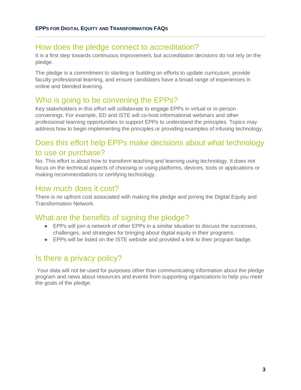#### <span id="page-3-0"></span>How does the pledge connect to accreditation?

It is a first step towards continuous improvement, but accreditation decisions do not rely on the pledge.

The pledge is a commitment to starting or building on efforts to update curriculum, provide faculty professional learning, and ensure candidates have a broad range of experiences in online and blended learning.

# <span id="page-3-1"></span>Who is going to be convening the EPPs?

Key stakeholders in this effort will collaborate to engage EPPs in virtual or in-person convenings. For example, ED and ISTE will co-host informational webinars and other professional learning opportunities to support EPPs to understand the principles. Topics may address how to begin implementing the principles or providing examples of infusing technology.

# <span id="page-3-2"></span>Does this effort help EPPs make decisions about what technology to use or purchase?

No. This effort is about how to transform teaching and learning using technology. It does not focus on the technical aspects of choosing or using platforms, devices, tools or applications or making recommendations or certifying technology.

### <span id="page-3-3"></span>How much does it cost?

There is no upfront cost associated with making the pledge and joining the Digital Equity and Transformation Network.

### <span id="page-3-4"></span>What are the benefits of signing the pledge?

- EPPs will join a network of other EPPs in a similar situation to discuss the successes, challenges, and strategies for bringing about digital equity in their programs.
- EPPs will be listed on the ISTE website and provided a link to their program badge.

# Is there a privacy policy?

Your data will not be used for purposes other than communicating information about the pledge program and news about resources and events from supporting organizations to help you meet the goals of the pledge.